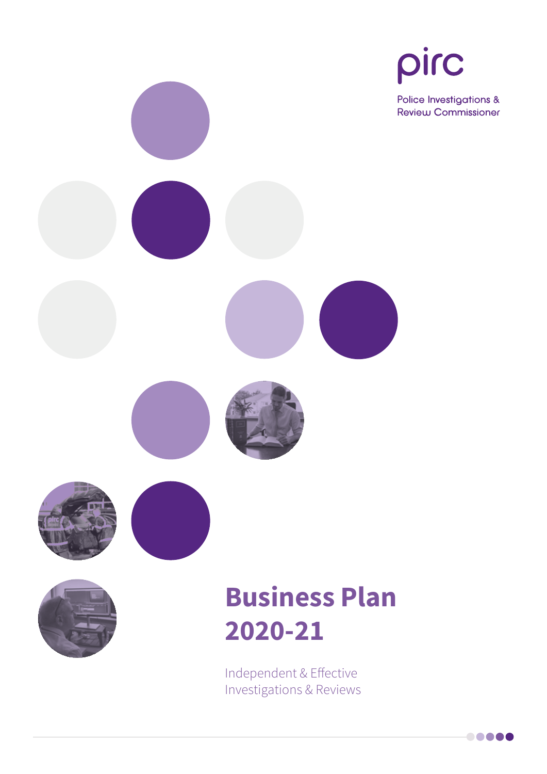



# **Business Plan 2020-21**

Independent & Effective Investigations & Reviews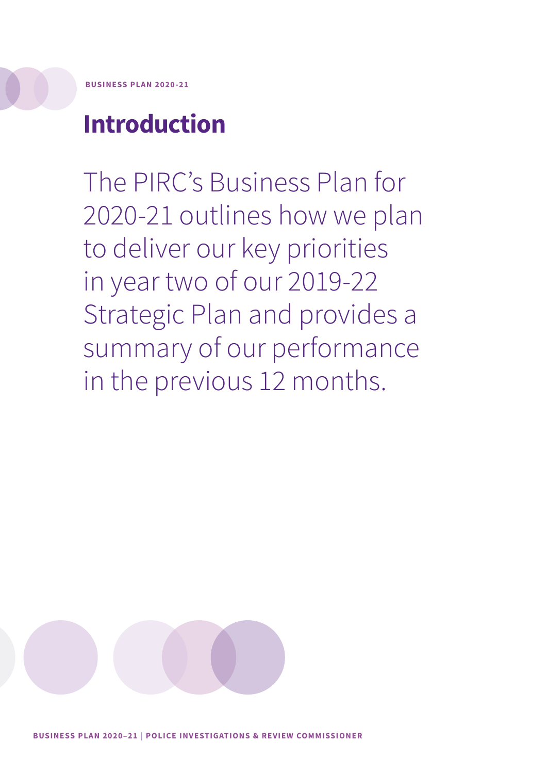**BUSINESS PLAN 2020-21**

## **Introduction**

The PIRC's Business Plan for 2020-21 outlines how we plan to deliver our key priorities in year two of our 2019-22 Strategic Plan and provides a summary of our performance in the previous 12 months.

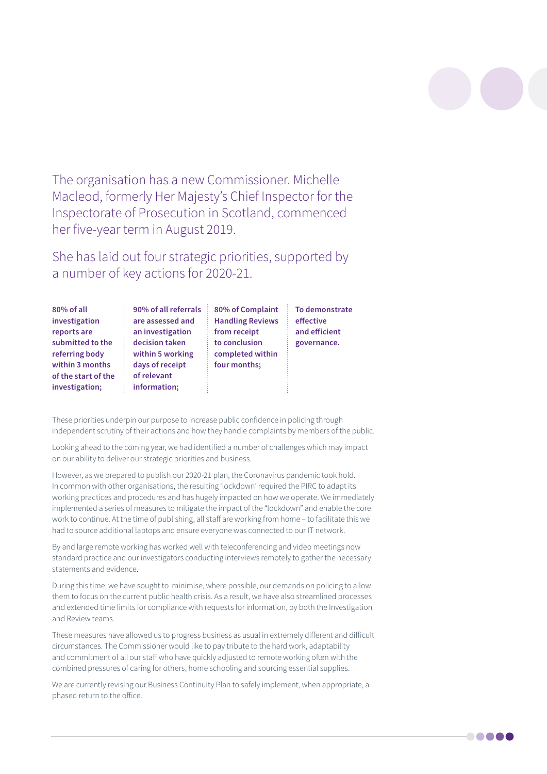The organisation has a new Commissioner. Michelle Macleod, formerly Her Majesty's Chief Inspector for the Inspectorate of Prosecution in Scotland, commenced her five-year term in August 2019.

She has laid out four strategic priorities, supported by a number of key actions for 2020-21.

> **To demonstrate effective and efficient governance.**

| 80% of all          | 90% of all referrals | 80% of Complaint        |
|---------------------|----------------------|-------------------------|
| investigation       | are assessed and     | <b>Handling Reviews</b> |
| reports are         | an investigation     | from receipt            |
| submitted to the    | decision taken       | to conclusion           |
| referring body      | within 5 working     | completed within        |
| within 3 months     | days of receipt      | four months;            |
| of the start of the | of relevant          |                         |
| investigation;      | information;         |                         |

These priorities underpin our purpose to increase public confidence in policing through independent scrutiny of their actions and how they handle complaints by members of the public.

Looking ahead to the coming year, we had identified a number of challenges which may impact on our ability to deliver our strategic priorities and business.

However, as we prepared to publish our 2020-21 plan, the Coronavirus pandemic took hold. In common with other organisations, the resulting 'lockdown' required the PIRC to adapt its working practices and procedures and has hugely impacted on how we operate. We immediately implemented a series of measures to mitigate the impact of the "lockdown" and enable the core work to continue. At the time of publishing, all staff are working from home – to facilitate this we had to source additional laptops and ensure everyone was connected to our IT network.

By and large remote working has worked well with teleconferencing and video meetings now standard practice and our investigators conducting interviews remotely to gather the necessary statements and evidence.

During this time, we have sought to minimise, where possible, our demands on policing to allow them to focus on the current public health crisis. As a result, we have also streamlined processes and extended time limits for compliance with requests for information, by both the Investigation and Review teams.

These measures have allowed us to progress business as usual in extremely different and difficult circumstances. The Commissioner would like to pay tribute to the hard work, adaptability and commitment of all our staff who have quickly adjusted to remote working often with the combined pressures of caring for others, home schooling and sourcing essential supplies.

We are currently revising our Business Continuity Plan to safely implement, when appropriate, a phased return to the office.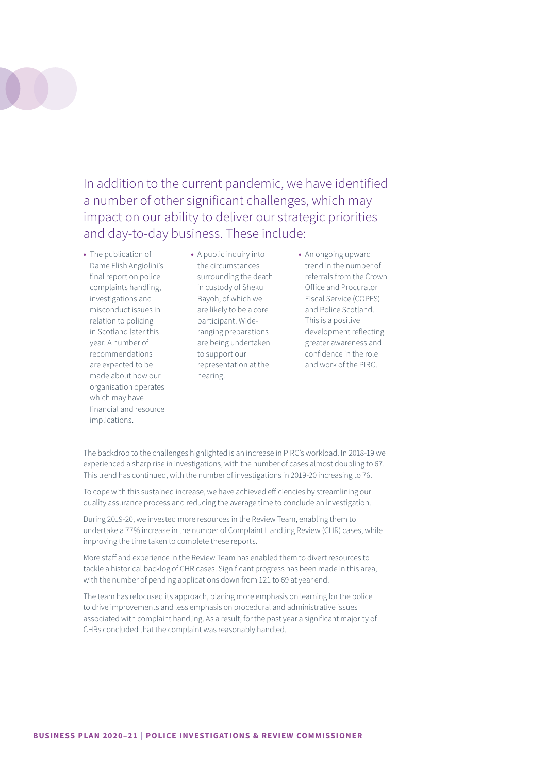

In addition to the current pandemic, we have identified a number of other significant challenges, which may impact on our ability to deliver our strategic priorities and day-to-day business. These include:

**•** The publication of Dame Elish Angiolini's final report on police complaints handling, investigations and misconduct issues in relation to policing in Scotland later this year. A number of recommendations are expected to be made about how our organisation operates which may have financial and resource implications.

**•** A public inquiry into the circumstances surrounding the death in custody of Sheku Bayoh, of which we are likely to be a core<br>participant. Wideparticipant. Wideranging preparations are being undertaken to support our representation at the hearing.

**•** An ongoing upward trend in the number of referrals from the Crown Office and Procurator Fiscal Service (COPFS) and Police Scotland. This is a positive development reflecting greater awareness and confidence in the role and work of the PIRC.

The backdrop to the challenges highlighted is an increase in PIRC's workload. In 2018-19 we experienced a sharp rise in investigations, with the number of cases almost doubling to 67. This trend has continued, with the number of investigations in 2019-20 increasing to 76.

To cope with this sustained increase, we have achieved efficiencies by streamlining our quality assurance process and reducing the average time to conclude an investigation.

During 2019-20, we invested more resources in the Review Team, enabling them to undertake a 77% increase in the number of Complaint Handling Review (CHR) cases, while improving the time taken to complete these reports.

More staff and experience in the Review Team has enabled them to divert resources to tackle a historical backlog of CHR cases. Significant progress has been made in this area, with the number of pending applications down from 121 to 69 at year end.

The team has refocused its approach, placing more emphasis on learning for the police to drive improvements and less emphasis on procedural and administrative issues associated with complaint handling. As a result, for the past year a significant majority of CHRs concluded that the complaint was reasonably handled.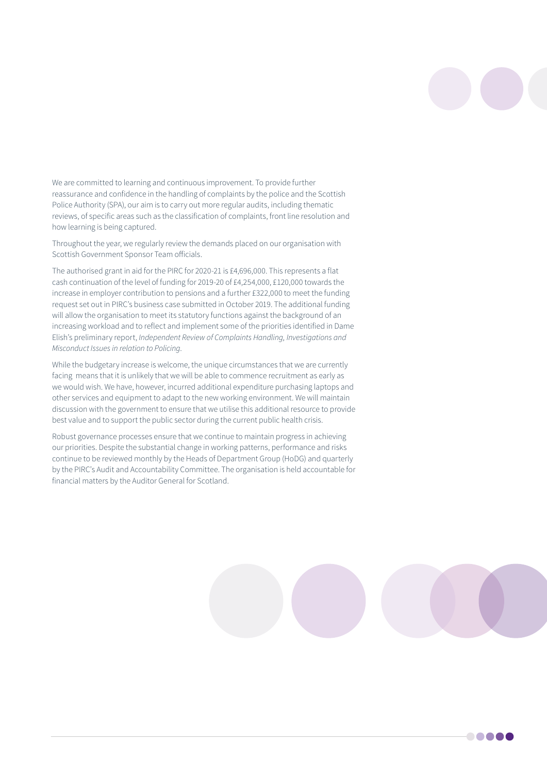We are committed to learning and continuous improvement. To provide further reassurance and confidence in the handling of complaints by the police and the Scottish Police Authority (SPA), our aim is to carry out more regular audits, including thematic reviews, of specific areas such as the classification of complaints, front line resolution and how learning is being captured.

Throughout the year, we regularly review the demands placed on our organisation with Scottish Government Sponsor Team officials.

The authorised grant in aid for the PIRC for 2020-21 is £4,696,000. This represents a flat cash continuation of the level of funding for 2019-20 of £4,254,000, £120,000 towards the increase in employer contribution to pensions and a further £322,000 to meet the funding request set out in PIRC's business case submitted in October 2019. The additional funding will allow the organisation to meet its statutory functions against the background of an increasing workload and to reflect and implement some of the priorities identified in Dame Elish's preliminary report, *Independent Review of Complaints Handling, Investigations and Misconduct Issues in relation to Policing*.

While the budgetary increase is welcome, the unique circumstances that we are currently facing means that it is unlikely that we will be able to commence recruitment as early as we would wish. We have, however, incurred additional expenditure purchasing laptops and other services and equipment to adapt to the new working environment. We will maintain discussion with the government to ensure that we utilise this additional resource to provide best value and to support the public sector during the current public health crisis.

Robust governance processes ensure that we continue to maintain progress in achieving our priorities. Despite the substantial change in working patterns, performance and risks continue to be reviewed monthly by the Heads of Department Group (HoDG) and quarterly by the PIRC's Audit and Accountability Committee. The organisation is held accountable for financial matters by the Auditor General for Scotland.

**.....**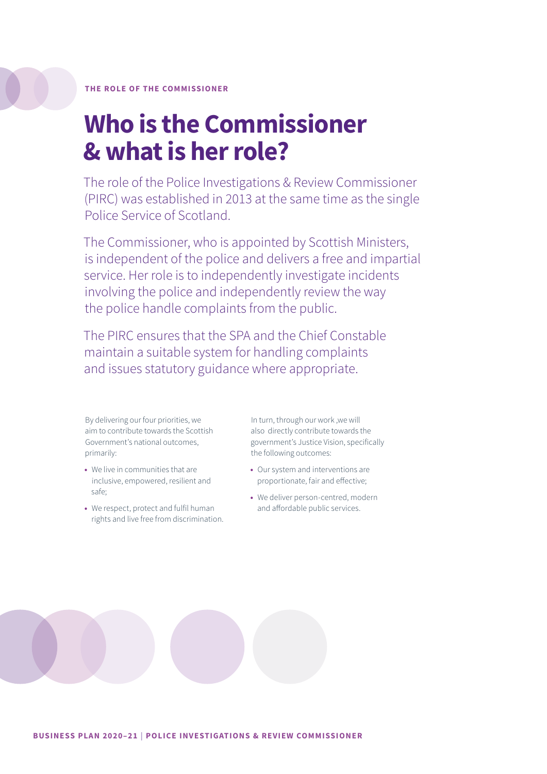### **Who is the Commissioner & what is her role?**

The role of the Police Investigations & Review Commissioner (PIRC) was established in 2013 at the same time as the single Police Service of Scotland.

The Commissioner, who is appointed by Scottish Ministers, is independent of the police and delivers a free and impartial service. Her role is to independently investigate incidents involving the police and independently review the way the police handle complaints from the public.

The PIRC ensures that the SPA and the Chief Constable maintain a suitable system for handling complaints and issues statutory guidance where appropriate.

By delivering our four priorities, we aim to contribute towards the Scottish Government's national outcomes, primarily:

- **•** We live in communities that are inclusive, empowered, resilient and safe;
- **•** We respect, protect and fulfil human rights and live free from discrimination.

In turn, through our work ,we will also directly contribute towards the government's Justice Vision, specifically the following outcomes:

- **•** Our system and interventions are proportionate, fair and effective;
- **•** We deliver person-centred, modern and affordable public services.

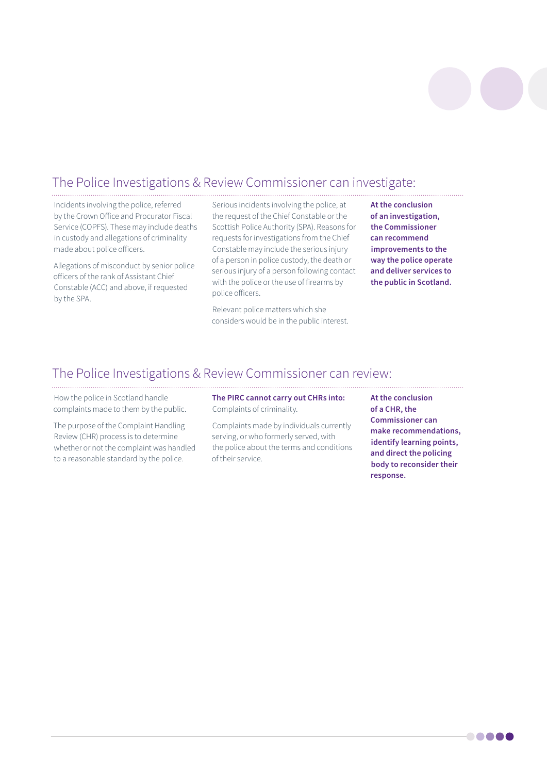

### The Police Investigations & Review Commissioner can investigate:

Incidents involving the police, referred by the Crown Office and Procurator Fiscal Service (COPFS). These may include deaths in custody and allegations of criminality made about police officers.

Allegations of misconduct by senior police officers of the rank of Assistant Chief Constable (ACC) and above, if requested by the SPA.

Serious incidents involving the police, at the request of the Chief Constable or the Scottish Police Authority (SPA). Reasons for requests for investigations from the Chief Constable may include the serious injury of a person in police custody, the death or serious injury of a person following contact with the police or the use of firearms by police officers.

Relevant police matters which she considers would be in the public interest. **At the conclusion of an investigation, the Commissioner can recommend improvements to the way the police operate and deliver services to the public in Scotland.**

### The Police Investigations & Review Commissioner can review:

How the police in Scotland handle complaints made to them by the public.

The purpose of the Complaint Handling Review (CHR) process is to determine whether or not the complaint was handled to a reasonable standard by the police.

**The PIRC cannot carry out CHRs into:** Complaints of criminality.

Complaints made by individuals currently serving, or who formerly served, with the police about the terms and conditions of their service.

**At the conclusion of a CHR, the Commissioner can make recommendations, identify learning points, and direct the policing body to reconsider their response.**

**. . . .** .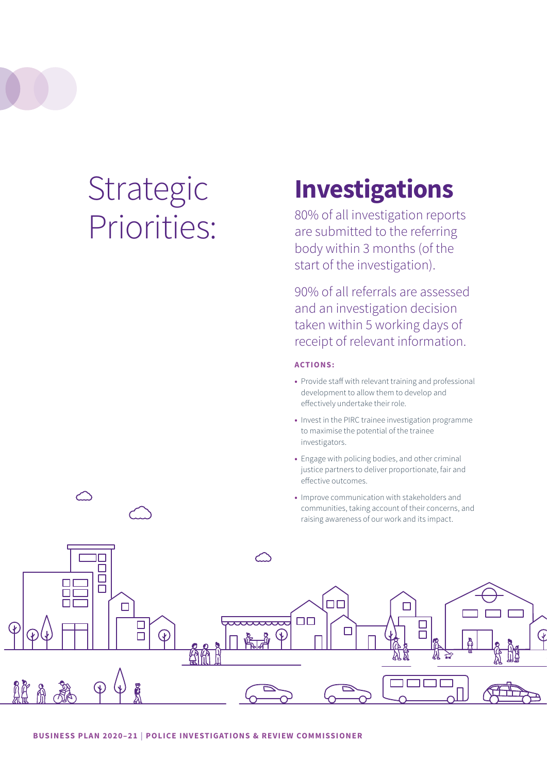# Strategic Priorities:

## **Investigations**

80% of all investigation reports are submitted to the referring body within 3 months (of the start of the investigation).

90% of all referrals are assessed and an investigation decision taken within 5 working days of receipt of relevant information.

### **ACTIONS:**

- **•** Provide staff with relevant training and professional development to allow them to develop and effectively undertake their role.
- **•** Invest in the PIRC trainee investigation programme to maximise the potential of the trainee investigators.
- **•** Engage with policing bodies, and other criminal justice partners to deliver proportionate, fair and effective outcomes.
- **•** Improve communication with stakeholders and communities, taking account of their concerns, and raising awareness of our work and its impact.

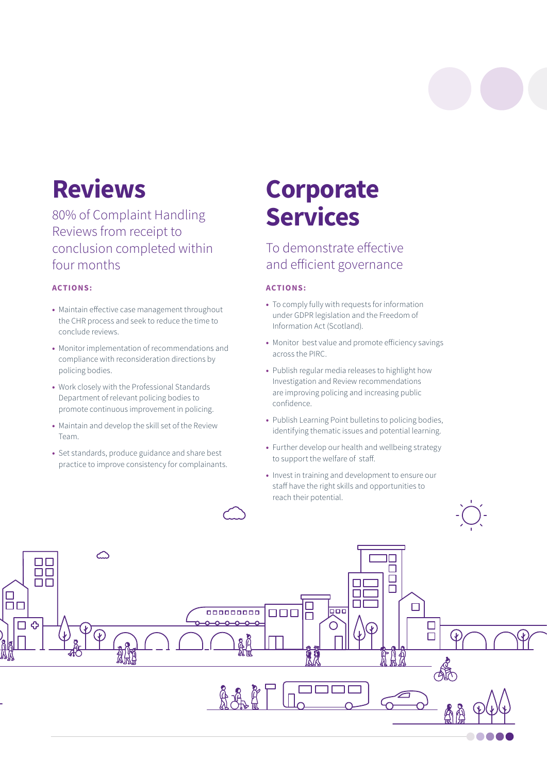## **Reviews**

80% of Complaint Handling Reviews from receipt to conclusion completed within four months

### **ACTIONS:**

- **•** Maintain effective case management throughout the CHR process and seek to reduce the time to conclude reviews.
- **•** Monitor implementation of recommendations and compliance with reconsideration directions by policing bodies.
- **•** Work closely with the Professional Standards Department of relevant policing bodies to promote continuous improvement in policing.
- **•** Maintain and develop the skill set of the Review Team.
- **•** Set standards, produce guidance and share best practice to improve consistency for complainants.

## **Corporate Services**

### To demonstrate effective and efficient governance

### **ACTIONS:**

- **•** To comply fully with requests for information under GDPR legislation and the Freedom of Information Act (Scotland).
- **•** Monitor best value and promote efficiency savings across the PIRC.
- **•** Publish regular media releases to highlight how Investigation and Review recommendations are improving policing and increasing public confidence.
- **•** Publish Learning Point bulletins to policing bodies, identifying thematic issues and potential learning.
- **•** Further develop our health and wellbeing strategy to support the welfare of staff.
- **•** Invest in training and development to ensure our staff have the right skills and opportunities to reach their potential.

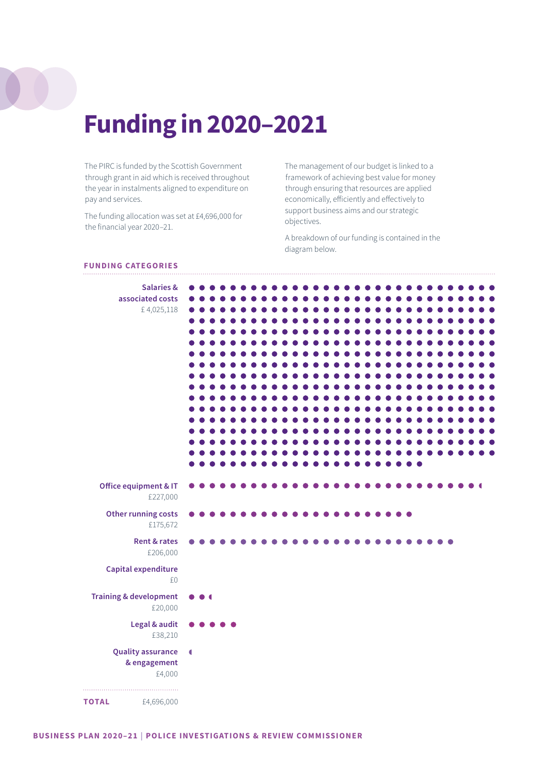## **Funding in 2020–2021**

The PIRC is funded by the Scottish Government through grant in aid which is received throughout the year in instalments aligned to expenditure on pay and services.

The funding allocation was set at £4,696,000 for the financial year 2020–21.

The management of our budget is linked to a framework of achieving best value for money through ensuring that resources are applied economically, efficiently and effectively to support business aims and our strategic objectives.

A breakdown of our funding is contained in the diagram below.

### **FUNDING CATEGORIES**

| <b>Salaries &amp;</b><br>associated costs<br>£4,025,118 |                |                |                     |  |  |  |  |  |  |  |  |           |  |  |  |  |
|---------------------------------------------------------|----------------|----------------|---------------------|--|--|--|--|--|--|--|--|-----------|--|--|--|--|
| Office equipment & IT<br>£227,000                       |                |                |                     |  |  |  |  |  |  |  |  |           |  |  |  |  |
| Other running costs<br>£175,672                         |                |                |                     |  |  |  |  |  |  |  |  | $\bullet$ |  |  |  |  |
| <b>Rent &amp; rates</b><br>£206,000                     |                |                |                     |  |  |  |  |  |  |  |  |           |  |  |  |  |
| Capital expenditure<br>£0                               |                |                |                     |  |  |  |  |  |  |  |  |           |  |  |  |  |
| <b>Training &amp; development</b><br>£20,000            |                | $\blacksquare$ |                     |  |  |  |  |  |  |  |  |           |  |  |  |  |
| Legal & audit<br>£38,210                                |                |                | $\bullet$ $\bullet$ |  |  |  |  |  |  |  |  |           |  |  |  |  |
| <b>Quality assurance</b><br>& engagement<br>£4,000      | $\blacksquare$ |                |                     |  |  |  |  |  |  |  |  |           |  |  |  |  |
| <b>TOTAL</b><br>£4,696,000                              |                |                |                     |  |  |  |  |  |  |  |  |           |  |  |  |  |

i.